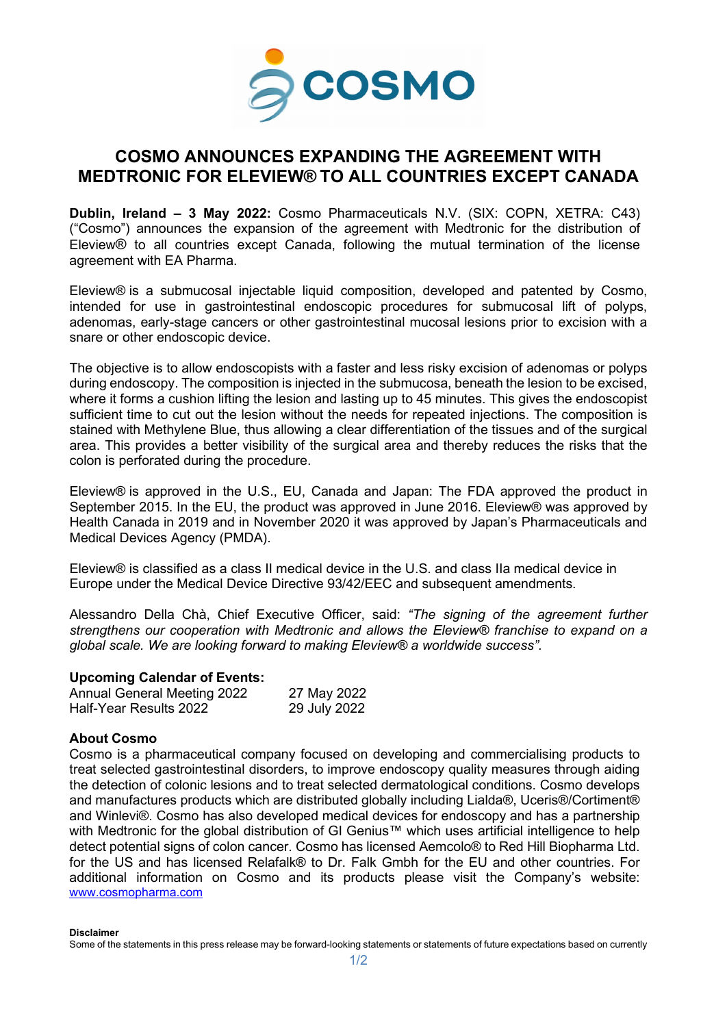

## **COSMO ANNOUNCES EXPANDING THE AGREEMENT WITH MEDTRONIC FOR ELEVIEW® TO ALL COUNTRIES EXCEPT CANADA**

**Dublin, Ireland – 3 May 2022:** Cosmo Pharmaceuticals N.V. (SIX: COPN, XETRA: C43) ("Cosmo") announces the expansion of the agreement with Medtronic for the distribution of Eleview® to all countries except Canada, following the mutual termination of the license agreement with EA Pharma.

Eleview® is a submucosal injectable liquid composition, developed and patented by Cosmo, intended for use in gastrointestinal endoscopic procedures for submucosal lift of polyps, adenomas, early-stage cancers or other gastrointestinal mucosal lesions prior to excision with a snare or other endoscopic device.

The objective is to allow endoscopists with a faster and less risky excision of adenomas or polyps during endoscopy. The composition is injected in the submucosa, beneath the lesion to be excised, where it forms a cushion lifting the lesion and lasting up to 45 minutes. This gives the endoscopist sufficient time to cut out the lesion without the needs for repeated injections. The composition is stained with Methylene Blue, thus allowing a clear differentiation of the tissues and of the surgical area. This provides a better visibility of the surgical area and thereby reduces the risks that the colon is perforated during the procedure.

Eleview® is approved in the U.S., EU, Canada and Japan: The FDA approved the product in September 2015. In the EU, the product was approved in June 2016. Eleview® was approved by Health Canada in 2019 and in November 2020 it was approved by Japan's Pharmaceuticals and Medical Devices Agency (PMDA).

Eleview® is classified as a class II medical device in the U.S. and class IIa medical device in Europe under the Medical Device Directive 93/42/EEC and subsequent amendments.

Alessandro Della Chà, Chief Executive Officer, said: *"The signing of the agreement further strengthens our cooperation with Medtronic and allows the Eleview® franchise to expand on a global scale. We are looking forward to making Eleview® a worldwide success".*

## **Upcoming Calendar of Events:**

| <b>Annual General Meeting 2022</b> | 27 May 2022  |
|------------------------------------|--------------|
| Half-Year Results 2022             | 29 July 2022 |

## **About Cosmo**

Cosmo is a pharmaceutical company focused on developing and commercialising products to treat selected gastrointestinal disorders, to improve endoscopy quality measures through aiding the detection of colonic lesions and to treat selected dermatological conditions. Cosmo develops and manufactures products which are distributed globally including Lialda®, Uceris®/Cortiment® and Winlevi®. Cosmo has also developed medical devices for endoscopy and has a partnership with Medtronic for the global distribution of GI Genius™ which uses artificial intelligence to help detect potential signs of colon cancer. Cosmo has licensed Aemcolo® to Red Hill Biopharma Ltd. for the US and has licensed Relafalk® to Dr. Falk Gmbh for the EU and other countries. For additional information on Cosmo and its products please visit the Company's website: [www.cosmopharma.com](https://www.cosmopharma.com/)

**Disclaimer**

Some of the statements in this press release may be forward-looking statements or statements of future expectations based on currently